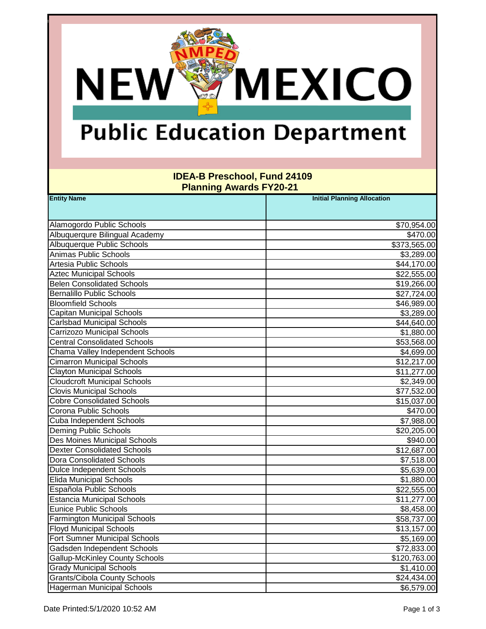# **Public Education Department**

**NEW** 

**MEXICO** 

### **IDEA-B Preschool, Fund 24109 Planning Awards FY20-21**

| <b>Entity Name</b>                    | <b>Initial Planning Allocation</b> |
|---------------------------------------|------------------------------------|
|                                       |                                    |
| Alamogordo Public Schools             | \$70,954.00                        |
| Albuquerqure Bilingual Academy        | \$470.00                           |
| Albuquerque Public Schools            | \$373,565.00                       |
| Animas Public Schools                 | \$3,289.00                         |
| Artesia Public Schools                | \$44,170.00                        |
| <b>Aztec Municipal Schools</b>        | \$22,555.00                        |
| <b>Belen Consolidated Schools</b>     | \$19,266.00                        |
| <b>Bernalillo Public Schools</b>      | \$27,724.00                        |
| <b>Bloomfield Schools</b>             | \$46,989.00                        |
| <b>Capitan Municipal Schools</b>      | \$3,289.00                         |
| <b>Carlsbad Municipal Schools</b>     | \$44,640.00                        |
| <b>Carrizozo Municipal Schools</b>    | \$1,880.00                         |
| <b>Central Consolidated Schools</b>   | \$53,568.00                        |
| Chama Valley Independent Schools      | \$4,699.00                         |
| <b>Cimarron Municipal Schools</b>     | \$12,217.00                        |
| <b>Clayton Municipal Schools</b>      | \$11,277.00                        |
| <b>Cloudcroft Municipal Schools</b>   | \$2,349.00                         |
| <b>Clovis Municipal Schools</b>       | \$77,532.00                        |
| <b>Cobre Consolidated Schools</b>     | \$15,037.00                        |
| Corona Public Schools                 | \$470.00                           |
| <b>Cuba Independent Schools</b>       | \$7,988.00                         |
| <b>Deming Public Schools</b>          | \$20,205.00                        |
| <b>Des Moines Municipal Schools</b>   | \$940.00                           |
| <b>Dexter Consolidated Schools</b>    | \$12,687.00                        |
| <b>Dora Consolidated Schools</b>      | \$7,518.00                         |
| <b>Dulce Independent Schools</b>      | \$5,639.00                         |
| <b>Elida Municipal Schools</b>        | \$1,880.00                         |
| Española Public Schools               | \$22,555.00                        |
| <b>Estancia Municipal Schools</b>     | \$11,277.00                        |
| <b>Eunice Public Schools</b>          | \$8,458.00                         |
| <b>Farmington Municipal Schools</b>   | \$58,737.00                        |
| <b>Floyd Municipal Schools</b>        | \$13,157.00                        |
| <b>Fort Sumner Municipal Schools</b>  | \$5,169.00                         |
| Gadsden Independent Schools           | \$72,833.00                        |
| <b>Gallup-McKinley County Schools</b> | \$120,763.00                       |
| <b>Grady Municipal Schools</b>        | \$1,410.00                         |
| <b>Grants/Cibola County Schools</b>   | \$24,434.00                        |
| <b>Hagerman Municipal Schools</b>     | \$6,579.00                         |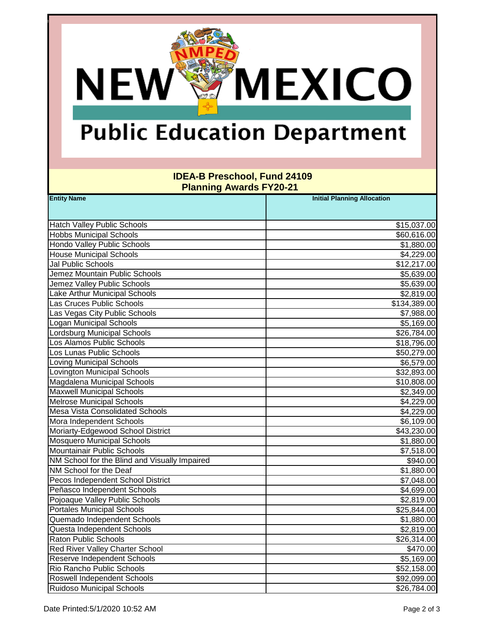## **Public Education Department**

**NEW** 

**MEXICO** 

#### **IDEA-B Preschool, Fund 24109 Planning Awards FY20-21**

| <b>Entity Name</b>                            | <b>Initial Planning Allocation</b> |  |
|-----------------------------------------------|------------------------------------|--|
|                                               |                                    |  |
| <b>Hatch Valley Public Schools</b>            | \$15,037.00                        |  |
| <b>Hobbs Municipal Schools</b>                | \$60,616.00                        |  |
| Hondo Valley Public Schools                   | \$1,880.00                         |  |
| <b>House Municipal Schools</b>                | \$4,229.00                         |  |
| <b>Jal Public Schools</b>                     | \$12,217.00                        |  |
| Jemez Mountain Public Schools                 | \$5,639.00                         |  |
| Jemez Valley Public Schools                   | \$5,639.00                         |  |
| Lake Arthur Municipal Schools                 | \$2,819.00                         |  |
| Las Cruces Public Schools                     | \$134,389.00                       |  |
| Las Vegas City Public Schools                 | \$7,988.00                         |  |
| <b>Logan Municipal Schools</b>                | \$5,169.00                         |  |
| <b>Lordsburg Municipal Schools</b>            | \$26,784.00                        |  |
| Los Alamos Public Schools                     | \$18,796.00                        |  |
| Los Lunas Public Schools                      | \$50,279.00                        |  |
| <b>Loving Municipal Schools</b>               | \$6,579.00                         |  |
| <b>Lovington Municipal Schools</b>            | \$32,893.00                        |  |
| Magdalena Municipal Schools                   | \$10,808.00                        |  |
| Maxwell Municipal Schools                     | \$2,349.00                         |  |
| <b>Melrose Municipal Schools</b>              | \$4,229.00                         |  |
| Mesa Vista Consolidated Schools               | \$4,229.00                         |  |
| Mora Independent Schools                      | \$6,109.00                         |  |
| Moriarty-Edgewood School District             | \$43,230.00                        |  |
| <b>Mosquero Municipal Schools</b>             | \$1,880.00                         |  |
| Mountainair Public Schools                    | \$7,518.00                         |  |
| NM School for the Blind and Visually Impaired | \$940.00                           |  |
| NM School for the Deaf                        | \$1,880.00                         |  |
| Pecos Independent School District             | \$7,048.00                         |  |
| Peñasco Independent Schools                   | \$4,699.00                         |  |
| Pojoaque Valley Public Schools                | \$2,819.00                         |  |
| <b>Portales Municipal Schools</b>             | \$25,844.00                        |  |
| Quemado Independent Schools                   | \$1,880.00                         |  |
| Questa Independent Schools                    | \$2,819.00                         |  |
| <b>Raton Public Schools</b>                   | \$26,314.00                        |  |
| Red River Valley Charter School               | \$470.00                           |  |
| Reserve Independent Schools                   | \$5,169.00                         |  |
| Rio Rancho Public Schools                     | \$52,158.00                        |  |
| Roswell Independent Schools                   | \$92,099.00                        |  |
| <b>Ruidoso Municipal Schools</b>              | \$26,784.00                        |  |